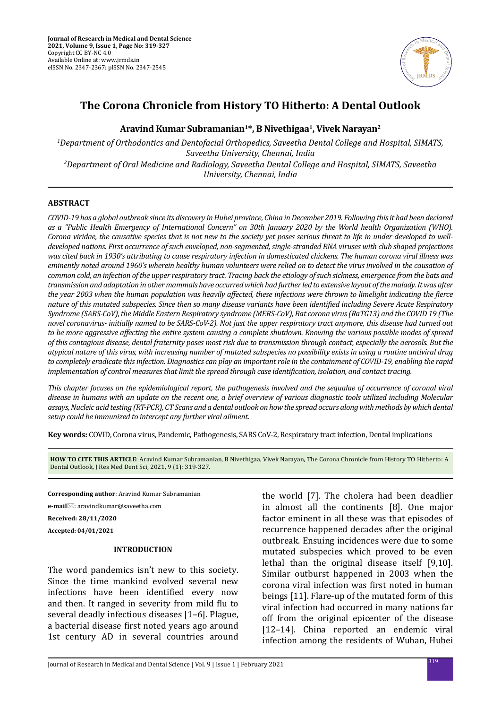

# **The Corona Chronicle from History TO Hitherto: A Dental Outlook**

# **Aravind Kumar Subramanian1\*, B Nivethigaa1, Vivek Narayan2**

*1 Department of Orthodontics and Dentofacial Orthopedics, Saveetha Dental College and Hospital, SIMATS, Saveetha University, Chennai, India 2 Department of Oral Medicine and Radiology, Saveetha Dental College and Hospital, SIMATS, Saveetha University, Chennai, India*

### **ABSTRACT**

*COVID-19 has a global outbreak since its discovery in Hubei province, China in December 2019. Following this it had been declared as a "Public Health Emergency of International Concern" on 30th January 2020 by the World health Organization (WHO). Corona viridae, the causative species that is not new to the society yet poses serious threat to life in under developed to welldeveloped nations. First occurrence of such enveloped, non-segmented, single-stranded RNA viruses with club shaped projections was cited back in 1930's attributing to cause respiratory infection in domesticated chickens. The human corona viral illness was eminently noted around 1960's wherein healthy human volunteers were relied on to detect the virus involved in the causation of common cold, an infection of the upper respiratory tract. Tracing back the etiology of such sickness, emergence from the bats and transmission and adaptation in other mammals have occurred which had further led to extensive layout of the malady. It was after the year 2003 when the human population was heavily affected, these infections were thrown to limelight indicating the fierce nature of this mutated subspecies. Since then so many disease variants have been identified including Severe Acute Respiratory Syndrome (SARS-CoV), the Middle Eastern Respiratory syndrome (MERS-CoV), Bat corona virus (RaTG13) and the COVID 19 (The novel coronavirus- initially named to be SARS-CoV-2). Not just the upper respiratory tract anymore, this disease had turned out to be more aggressive affecting the entire system causing a complete shutdown. Knowing the various possible modes of spread of this contagious disease, dental fraternity poses most risk due to transmission through contact, especially the aerosols. But the atypical nature of this virus, with increasing number of mutated subspecies no possibility exists in using a routine antiviral drug to completely eradicate this infection. Diagnostics can play an important role in the containment of COVID-19, enabling the rapid implementation of control measures that limit the spread through case identification, isolation, and contact tracing.* 

*This chapter focuses on the epidemiological report, the pathogenesis involved and the sequalae of occurrence of coronal viral disease in humans with an update on the recent one, a brief overview of various diagnostic tools utilized including Molecular assays, Nucleic acid testing (RT-PCR), CT Scans and a dental outlook on how the spread occurs along with methods by which dental setup could be immunized to intercept any further viral ailment.*

**Key words:** COVID, Corona virus, Pandemic, Pathogenesis, SARS CoV-2, Respiratory tract infection, Dental implications

**HOW TO CITE THIS ARTICLE**: Aravind Kumar Subramanian, B Nivethigaa, Vivek Narayan, The Corona Chronicle from History TO Hitherto: A Dental Outlook, J Res Med Dent Sci, 2021, 9 (1): 319-327.

**Corresponding author**: Aravind Kumar Subramanian

**e-mail**: aravindkumar@saveetha.com

**Received: 28/11/2020**

**Accepted: 04/01/2021**

### **INTRODUCTION**

The word pandemics isn't new to this society. Since the time mankind evolved several new infections have been identified every now and then. It ranged in severity from mild flu to several deadly infectious diseases [1–6]. Plague, a bacterial disease first noted years ago around 1st century AD in several countries around the world [7]. The cholera had been deadlier in almost all the continents [8]. One major factor eminent in all these was that episodes of recurrence happened decades after the original outbreak. Ensuing incidences were due to some mutated subspecies which proved to be even lethal than the original disease itself [9,10]. Similar outburst happened in 2003 when the corona viral infection was first noted in human beings [11]. Flare-up of the mutated form of this viral infection had occurred in many nations far off from the original epicenter of the disease [12–14]. China reported an endemic viral infection among the residents of Wuhan, Hubei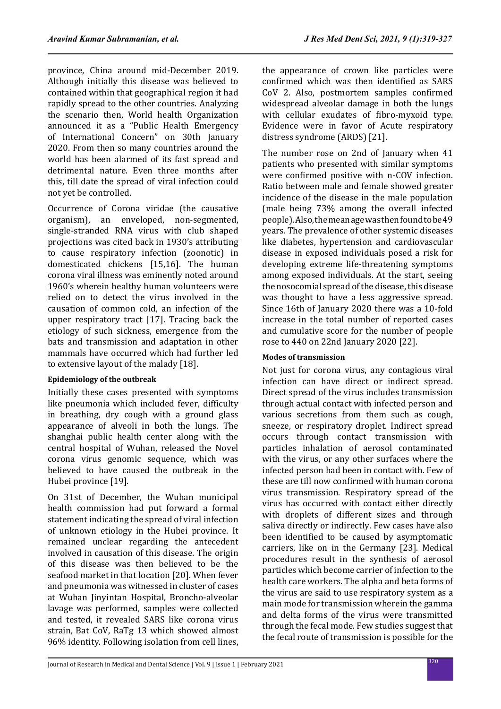province, China around mid-December 2019. Although initially this disease was believed to contained within that geographical region it had rapidly spread to the other countries. Analyzing the scenario then, World health Organization announced it as a "Public Health Emergency of International Concern" on 30th January 2020. From then so many countries around the world has been alarmed of its fast spread and detrimental nature. Even three months after this, till date the spread of viral infection could not yet be controlled.

Occurrence of Corona viridae (the causative organism), an enveloped, non-segmented, single-stranded RNA virus with club shaped projections was cited back in 1930's attributing to cause respiratory infection (zoonotic) in domesticated chickens [15,16]. The human corona viral illness was eminently noted around 1960's wherein healthy human volunteers were relied on to detect the virus involved in the causation of common cold, an infection of the upper respiratory tract [17]. Tracing back the etiology of such sickness, emergence from the bats and transmission and adaptation in other mammals have occurred which had further led to extensive layout of the malady [18].

### **Epidemiology of the outbreak**

Initially these cases presented with symptoms like pneumonia which included fever, difficulty in breathing, dry cough with a ground glass appearance of alveoli in both the lungs. The shanghai public health center along with the central hospital of Wuhan, released the Novel corona virus genomic sequence, which was believed to have caused the outbreak in the Hubei province [19].

On 31st of December, the Wuhan municipal health commission had put forward a formal statement indicating the spread of viral infection of unknown etiology in the Hubei province. It remained unclear regarding the antecedent involved in causation of this disease. The origin of this disease was then believed to be the seafood market in that location [20]. When fever and pneumonia was witnessed in cluster of cases at Wuhan Jinyintan Hospital, Broncho-alveolar lavage was performed, samples were collected and tested, it revealed SARS like corona virus strain, Bat CoV, RaTg 13 which showed almost 96% identity. Following isolation from cell lines, the appearance of crown like particles were confirmed which was then identified as SARS CoV 2. Also, postmortem samples confirmed widespread alveolar damage in both the lungs with cellular exudates of fibro-myxoid type. Evidence were in favor of Acute respiratory distress syndrome (ARDS) [21].

The number rose on 2nd of January when 41 patients who presented with similar symptoms were confirmed positive with n-COV infection. Ratio between male and female showed greater incidence of the disease in the male population (male being 73% among the overall infected people). Also, the mean age was then found to be 49 years. The prevalence of other systemic diseases like diabetes, hypertension and cardiovascular disease in exposed individuals posed a risk for developing extreme life-threatening symptoms among exposed individuals. At the start, seeing the nosocomial spread of the disease, this disease was thought to have a less aggressive spread. Since 16th of January 2020 there was a 10-fold increase in the total number of reported cases and cumulative score for the number of people rose to 440 on 22nd January 2020 [22].

# **Modes of transmission**

Not just for corona virus, any contagious viral infection can have direct or indirect spread. Direct spread of the virus includes transmission through actual contact with infected person and various secretions from them such as cough, sneeze, or respiratory droplet. Indirect spread occurs through contact transmission with particles inhalation of aerosol contaminated with the virus, or any other surfaces where the infected person had been in contact with. Few of these are till now confirmed with human corona virus transmission. Respiratory spread of the virus has occurred with contact either directly with droplets of different sizes and through saliva directly or indirectly. Few cases have also been identified to be caused by asymptomatic carriers, like on in the Germany [23]. Medical procedures result in the synthesis of aerosol particles which become carrier of infection to the health care workers. The alpha and beta forms of the virus are said to use respiratory system as a main mode for transmission wherein the gamma and delta forms of the virus were transmitted through the fecal mode. Few studies suggest that the fecal route of transmission is possible for the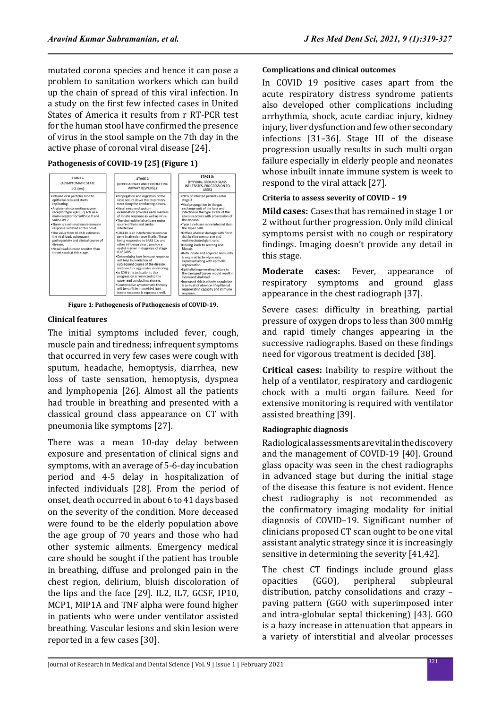mutated corona species and hence it can pose a problem to sanitation workers which can build up the chain of spread of this viral infection. In a study on the first few infected cases in United States of America it results from r RT-PCR test for the human stool have confirmed the presence of virus in the stool sample on the 7th day in the active phase of coronal viral disease [24].

### **Pathogenesis of COVID-19 [25] (Figure 1)**



**Figure 1: Pathogenesis of Pathogenesis of COVID-19.**

# **Clinical features**

The initial symptoms included fever, cough, muscle pain and tiredness; infrequent symptoms that occurred in very few cases were cough with sputum, headache, hemoptysis, diarrhea, new loss of taste sensation, hemoptysis, dyspnea and lymphopenia [26]. Almost all the patients had trouble in breathing and presented with a classical ground class appearance on CT with pneumonia like symptoms [27].

There was a mean 10-day delay between exposure and presentation of clinical signs and symptoms, with an average of 5-6-day incubation period and 4-5 delay in hospitalization of infected individuals [28]. From the period of onset, death occurred in about 6 to 41 days based on the severity of the condition. More deceased were found to be the elderly population above the age group of 70 years and those who had other systemic ailments. Emergency medical care should be sought if the patient has trouble in breathing, diffuse and prolonged pain in the chest region, delirium, bluish discoloration of the lips and the face [29]. IL2, IL7, GCSF, IP10, MCP1, MIP1A and TNF alpha were found higher in patients who were under ventilator assisted breathing. Vascular lesions and skin lesion were reported in a few cases [30].

### **Complications and clinical outcomes**

In COVID 19 positive cases apart from the acute respiratory distress syndrome patients also developed other complications including arrhythmia, shock, acute cardiac injury, kidney injury, liver dysfunction and few other secondary infections [31–36]. Stage III of the disease progression usually results in such multi organ failure especially in elderly people and neonates whose inbuilt innate immune system is week to respond to the viral attack [27].

# **Criteria to assess severity of COVID – 19**

**Mild cases:** Cases that has remained in stage 1 or 2 without further progression. Only mild clinical symptoms persist with no cough or respiratory findings. Imaging doesn't provide any detail in this stage.

**Moderate cases:** Fever, appearance of respiratory symptoms and ground glass respiratory symptoms and ground glass appearance in the chest radiograph [37].

Severe cases: difficulty in breathing, partial pressure of oxygen drops to less than 300 mmHg and rapid timely changes appearing in the successive radiographs. Based on these findings need for vigorous treatment is decided [38].

**Critical cases:** Inability to respire without the help of a ventilator, respiratory and cardiogenic chock with a multi organ failure. Need for extensive monitoring is required with ventilator assisted breathing [39].

# **Radiographic diagnosis**

Radiological assessments are vital in the discovery and the management of COVID-19 [40]. Ground glass opacity was seen in the chest radiographs in advanced stage but during the initial stage of the disease this feature is not evident. Hence chest radiography is not recommended as the confirmatory imaging modality for initial diagnosis of COVID–19. Significant number of clinicians proposed CT scan ought to be one vital assistant analytic strategy since it is increasingly sensitive in determining the severity [41,42].

The chest CT findings include ground glass opacities (GGO), peripheral subpleural distribution, patchy consolidations and crazy – paving pattern (GGO with superimposed inter and intra-globular septal thickening) [43]. GGO is a hazy increase in attenuation that appears in a variety of interstitial and alveolar processes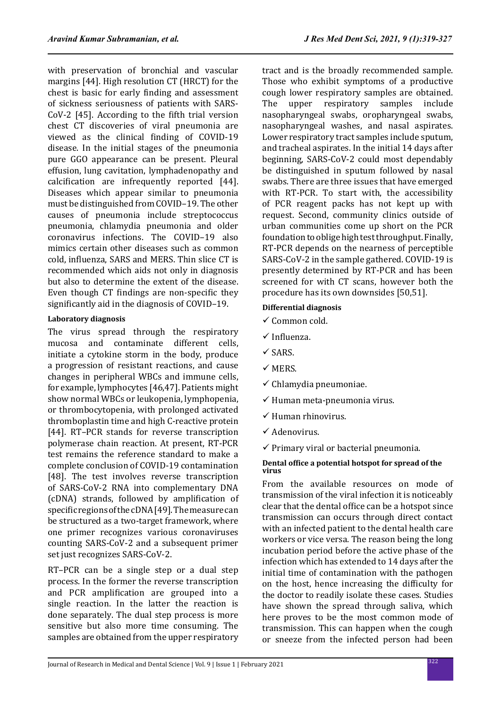with preservation of bronchial and vascular margins [44]. High resolution CT (HRCT) for the chest is basic for early finding and assessment of sickness seriousness of patients with SARS-CoV-2 [45]. According to the fifth trial version chest CT discoveries of viral pneumonia are viewed as the clinical finding of COVID-19 disease. In the initial stages of the pneumonia pure GGO appearance can be present. Pleural effusion, lung cavitation, lymphadenopathy and calcification are infrequently reported [44]. Diseases which appear similar to pneumonia must be distinguished from COVID–19. The other causes of pneumonia include streptococcus

pneumonia, chlamydia pneumonia and older coronavirus infections. The COVID–19 also mimics certain other diseases such as common cold, influenza, SARS and MERS. Thin slice CT is recommended which aids not only in diagnosis but also to determine the extent of the disease. Even though CT findings are non-specific they significantly aid in the diagnosis of COVID–19.

# **Laboratory diagnosis**

The virus spread through the respiratory mucosa and contaminate different cells, initiate a cytokine storm in the body, produce a progression of resistant reactions, and cause changes in peripheral WBCs and immune cells, for example, lymphocytes [46,47]. Patients might show normal WBCs or leukopenia, lymphopenia, or thrombocytopenia, with prolonged activated thromboplastin time and high C-reactive protein [44]. RT–PCR stands for reverse transcription polymerase chain reaction. At present, RT-PCR test remains the reference standard to make a complete conclusion of COVID-19 contamination [48]. The test involves reverse transcription of SARS-CoV-2 RNA into complementary DNA (cDNA) strands, followed by amplification of specific regions of the cDNA [49]. The measure can be structured as a two-target framework, where one primer recognizes various coronaviruses counting SARS-CoV-2 and a subsequent primer set just recognizes SARS-CoV-2.

RT–PCR can be a single step or a dual step process. In the former the reverse transcription and PCR amplification are grouped into a single reaction. In the latter the reaction is done separately. The dual step process is more sensitive but also more time consuming. The samples are obtained from the upper respiratory tract and is the broadly recommended sample. Those who exhibit symptoms of a productive cough lower respiratory samples are obtained. The upper respiratory samples include nasopharyngeal swabs, oropharyngeal swabs, nasopharyngeal washes, and nasal aspirates. Lower respiratory tract samples include sputum, and tracheal aspirates. In the initial 14 days after beginning, SARS-CoV-2 could most dependably be distinguished in sputum followed by nasal swabs. There are three issues that have emerged with RT-PCR. To start with, the accessibility of PCR reagent packs has not kept up with request. Second, community clinics outside of urban communities come up short on the PCR foundation to oblige high test throughput. Finally, RT-PCR depends on the nearness of perceptible SARS-CoV-2 in the sample gathered. COVID-19 is presently determined by RT-PCR and has been screened for with CT scans, however both the procedure has its own downsides [50,51].

# **Differential diagnosis**

- $\checkmark$  Common cold.
- $\checkmark$  Influenza.
- $\checkmark$  SARS.
- $\times$  MERS.
- $\checkmark$  Chlamydia pneumoniae.
- $\checkmark$  Human meta-pneumonia virus.
- $\checkmark$  Human rhinovirus.
- $\checkmark$  Adenovirus.
- $\checkmark$  Primary viral or bacterial pneumonia.

### **Dental office a potential hotspot for spread of the virus**

From the available resources on mode of transmission of the viral infection it is noticeably clear that the dental office can be a hotspot since transmission can occurs through direct contact with an infected patient to the dental health care workers or vice versa. The reason being the long incubation period before the active phase of the infection which has extended to 14 days after the initial time of contamination with the pathogen on the host, hence increasing the difficulty for the doctor to readily isolate these cases. Studies have shown the spread through saliva, which here proves to be the most common mode of transmission. This can happen when the cough or sneeze from the infected person had been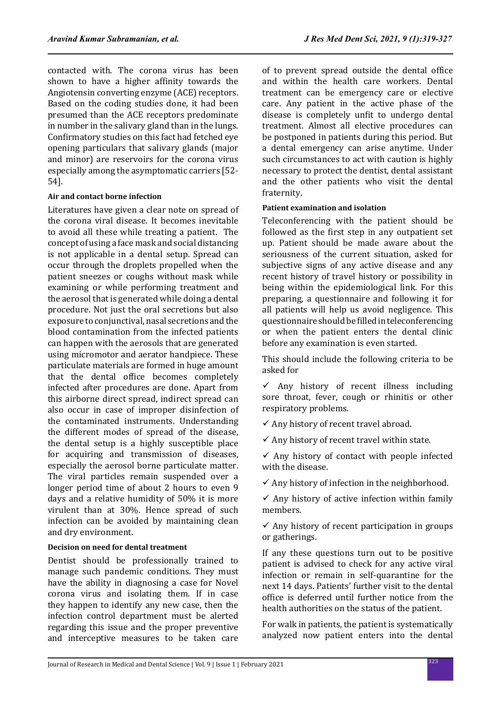contacted with. The corona virus has been shown to have a higher affinity towards the Angiotensin converting enzyme (ACE) receptors. Based on the coding studies done, it had been presumed than the ACE receptors predominate in number in the salivary gland than in the lungs. Confirmatory studies on this fact had fetched eye opening particulars that salivary glands (major and minor) are reservoirs for the corona virus especially among the asymptomatic carriers [52- 54].

# **Air and contact borne infection**

Literatures have given a clear note on spread of the corona viral disease. It becomes inevitable to avoid all these while treating a patient. The concept of using a face mask and social distancing is not applicable in a dental setup. Spread can occur through the droplets propelled when the patient sneezes or coughs without mask while examining or while performing treatment and the aerosol that is generated while doing a dental procedure. Not just the oral secretions but also exposure to conjunctival, nasal secretions and the blood contamination from the infected patients can happen with the aerosols that are generated using micromotor and aerator handpiece. These particulate materials are formed in huge amount that the dental office becomes completely infected after procedures are done. Apart from this airborne direct spread, indirect spread can also occur in case of improper disinfection of the contaminated instruments. Understanding the different modes of spread of the disease, the dental setup is a highly susceptible place for acquiring and transmission of diseases, especially the aerosol borne particulate matter. The viral particles remain suspended over a longer period time of about 2 hours to even 9 days and a relative humidity of 50% it is more virulent than at 30%. Hence spread of such infection can be avoided by maintaining clean and dry environment.

# **Decision on need for dental treatment**

Dentist should be professionally trained to manage such pandemic conditions. They must have the ability in diagnosing a case for Novel corona virus and isolating them. If in case they happen to identify any new case, then the infection control department must be alerted regarding this issue and the proper preventive and interceptive measures to be taken care of to prevent spread outside the dental office and within the health care workers. Dental treatment can be emergency care or elective care. Any patient in the active phase of the disease is completely unfit to undergo dental treatment. Almost all elective procedures can be postponed in patients during this period. But a dental emergency can arise anytime. Under such circumstances to act with caution is highly necessary to protect the dentist, dental assistant and the other patients who visit the dental fraternity.

# **Patient examination and isolation**

Teleconferencing with the patient should be followed as the first step in any outpatient set up. Patient should be made aware about the seriousness of the current situation, asked for subjective signs of any active disease and any recent history of travel history or possibility in being within the epidemiological link. For this preparing, a questionnaire and following it for all patients will help us avoid negligence. This questionnaire should be filled in teleconferencing or when the patient enters the dental clinic before any examination is even started.

This should include the following criteria to be asked for

 $\checkmark$  Any history of recent illness including sore throat, fever, cough or rhinitis or other respiratory problems.

 $\checkmark$  Any history of recent travel abroad.

 $\checkmark$  Any history of recent travel within state.

 $\checkmark$  Any history of contact with people infected with the disease.

 $\checkmark$  Any history of infection in the neighborhood.

 $\checkmark$  Any history of active infection within family members.

 $\checkmark$  Any history of recent participation in groups or gatherings.

If any these questions turn out to be positive patient is advised to check for any active viral infection or remain in self-quarantine for the next 14 days. Patients' further visit to the dental office is deferred until further notice from the health authorities on the status of the patient.

For walk in patients, the patient is systematically analyzed now patient enters into the dental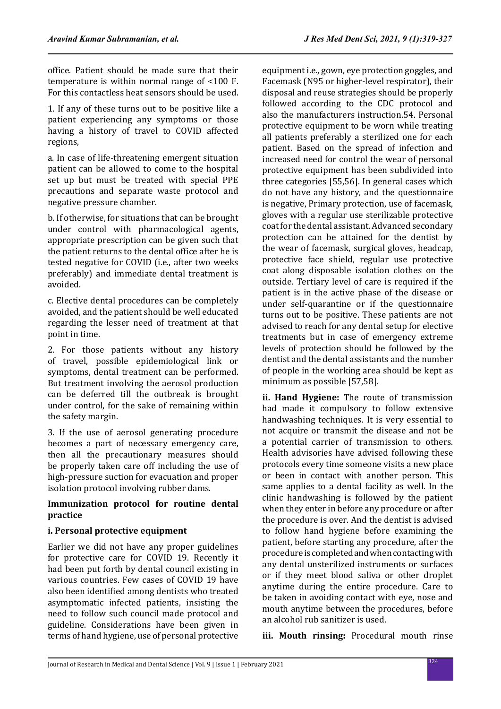office. Patient should be made sure that their temperature is within normal range of <100 F. For this contactless heat sensors should be used.

1. If any of these turns out to be positive like a patient experiencing any symptoms or those having a history of travel to COVID affected regions,

a. In case of life-threatening emergent situation patient can be allowed to come to the hospital set up but must be treated with special PPE precautions and separate waste protocol and negative pressure chamber.

b. If otherwise, for situations that can be brought under control with pharmacological agents, appropriate prescription can be given such that the patient returns to the dental office after he is tested negative for COVID (i.e., after two weeks preferably) and immediate dental treatment is avoided.

c. Elective dental procedures can be completely avoided, and the patient should be well educated regarding the lesser need of treatment at that point in time.

2. For those patients without any history of travel, possible epidemiological link or symptoms, dental treatment can be performed. But treatment involving the aerosol production can be deferred till the outbreak is brought under control, for the sake of remaining within the safety margin.

3. If the use of aerosol generating procedure becomes a part of necessary emergency care, then all the precautionary measures should be properly taken care off including the use of high-pressure suction for evacuation and proper isolation protocol involving rubber dams.

# **Immunization protocol for routine dental practice**

# **i. Personal protective equipment**

Earlier we did not have any proper guidelines for protective care for COVID 19. Recently it had been put forth by dental council existing in various countries. Few cases of COVID 19 have also been identified among dentists who treated asymptomatic infected patients, insisting the need to follow such council made protocol and guideline. Considerations have been given in terms of hand hygiene, use of personal protective equipment i.e., gown, eye protection goggles, and Facemask (N95 or higher-level respirator), their disposal and reuse strategies should be properly followed according to the CDC protocol and also the manufacturers instruction.54. Personal protective equipment to be worn while treating all patients preferably a sterilized one for each patient. Based on the spread of infection and increased need for control the wear of personal protective equipment has been subdivided into three categories [55,56]. In general cases which do not have any history, and the questionnaire is negative, Primary protection, use of facemask, gloves with a regular use sterilizable protective coat for the dental assistant. Advanced secondary protection can be attained for the dentist by the wear of facemask, surgical gloves, headcap, protective face shield, regular use protective coat along disposable isolation clothes on the outside. Tertiary level of care is required if the patient is in the active phase of the disease or under self-quarantine or if the questionnaire turns out to be positive. These patients are not advised to reach for any dental setup for elective treatments but in case of emergency extreme levels of protection should be followed by the dentist and the dental assistants and the number of people in the working area should be kept as minimum as possible [57,58].

**ii. Hand Hygiene:** The route of transmission had made it compulsory to follow extensive handwashing techniques. It is very essential to not acquire or transmit the disease and not be a potential carrier of transmission to others. Health advisories have advised following these protocols every time someone visits a new place or been in contact with another person. This same applies to a dental facility as well. In the clinic handwashing is followed by the patient when they enter in before any procedure or after the procedure is over. And the dentist is advised to follow hand hygiene before examining the patient, before starting any procedure, after the procedure is completed and when contacting with any dental unsterilized instruments or surfaces or if they meet blood saliva or other droplet anytime during the entire procedure. Care to be taken in avoiding contact with eye, nose and mouth anytime between the procedures, before an alcohol rub sanitizer is used.

**iii. Mouth rinsing:** Procedural mouth rinse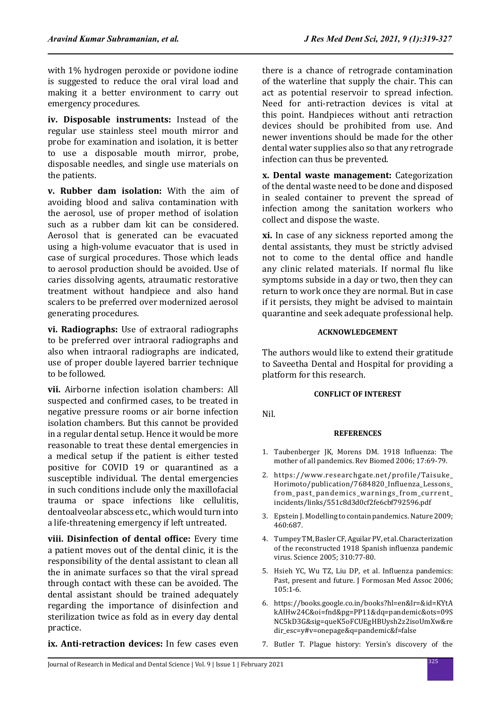with 1% hydrogen peroxide or povidone iodine is suggested to reduce the oral viral load and making it a better environment to carry out emergency procedures.

**iv. Disposable instruments:** Instead of the regular use stainless steel mouth mirror and probe for examination and isolation, it is better to use a disposable mouth mirror, probe, disposable needles, and single use materials on the patients.

**v. Rubber dam isolation:** With the aim of avoiding blood and saliva contamination with the aerosol, use of proper method of isolation such as a rubber dam kit can be considered. Aerosol that is generated can be evacuated using a high-volume evacuator that is used in case of surgical procedures. Those which leads to aerosol production should be avoided. Use of caries dissolving agents, atraumatic restorative treatment without handpiece and also hand scalers to be preferred over modernized aerosol generating procedures.

**vi. Radiographs:** Use of extraoral radiographs to be preferred over intraoral radiographs and also when intraoral radiographs are indicated, use of proper double layered barrier technique to be followed.

**vii.** Airborne infection isolation chambers: All suspected and confirmed cases, to be treated in negative pressure rooms or air borne infection isolation chambers. But this cannot be provided in a regular dental setup. Hence it would be more reasonable to treat these dental emergencies in a medical setup if the patient is either tested positive for COVID 19 or quarantined as a susceptible individual. The dental emergencies in such conditions include only the maxillofacial trauma or space infections like cellulitis, dentoalveolar abscess etc., which would turn into a life-threatening emergency if left untreated.

**viii. Disinfection of dental office:** Every time a patient moves out of the dental clinic, it is the responsibility of the dental assistant to clean all the in animate surfaces so that the viral spread through contact with these can be avoided. The dental assistant should be trained adequately regarding the importance of disinfection and sterilization twice as fold as in every day dental practice.

there is a chance of retrograde contamination of the waterline that supply the chair. This can act as potential reservoir to spread infection. Need for anti-retraction devices is vital at this point. Handpieces without anti retraction devices should be prohibited from use. And newer inventions should be made for the other dental water supplies also so that any retrograde infection can thus be prevented.

**x. Dental waste management:** Categorization of the dental waste need to be done and disposed in sealed container to prevent the spread of infection among the sanitation workers who collect and dispose the waste.

**xi.** In case of any sickness reported among the dental assistants, they must be strictly advised not to come to the dental office and handle any clinic related materials. If normal flu like symptoms subside in a day or two, then they can return to work once they are normal. But in case if it persists, they might be advised to maintain quarantine and seek adequate professional help.

### **ACKNOWLEDGEMENT**

The authors would like to extend their gratitude to Saveetha Dental and Hospital for providing a platform for this research.

#### **CONFLICT OF INTEREST**

Nil.

#### **REFERENCES**

- 1. Taubenberger JK, Morens DM. 1918 Influenza: The mother of all pandemics. Rev Biomed 2006; 17:69-79.
- 2. https://www.researchgate.net/profile/Taisuke\_ Horimoto/publication/7684820\_Influenza\_Lessons\_ from\_past\_pandemics\_warnings\_from\_current\_ incidents/links/551c8d3d0cf2fe6cbf792596.pdf
- 3. Epstein J. Modelling to contain pandemics. Nature 2009; 460:687.
- 4. Tumpey TM, Basler CF, Aguilar PV, et al. Characterization of the reconstructed 1918 Spanish influenza pandemic virus. Science 2005; 310:77-80.
- 5. Hsieh YC, Wu TZ, Liu DP, et al. Influenza pandemics: Past, present and future. J Formosan Med Assoc 2006; 105:1-6.
- 6. https://books.google.co.in/books?hl=en&lr=&id=KYtA kAIHw24C&oi=fnd&pg=PP11&dq=pandemic&ots=09S NC5kD3G&sig=queK5oFCUEgHBUysh2z2isoUmXw&re dir\_esc=y#v=onepage&q=pandemic&f=false
- **ix. Anti-retraction devices:** In few cases even
- 7. Butler T. Plague history: Yersin's discovery of the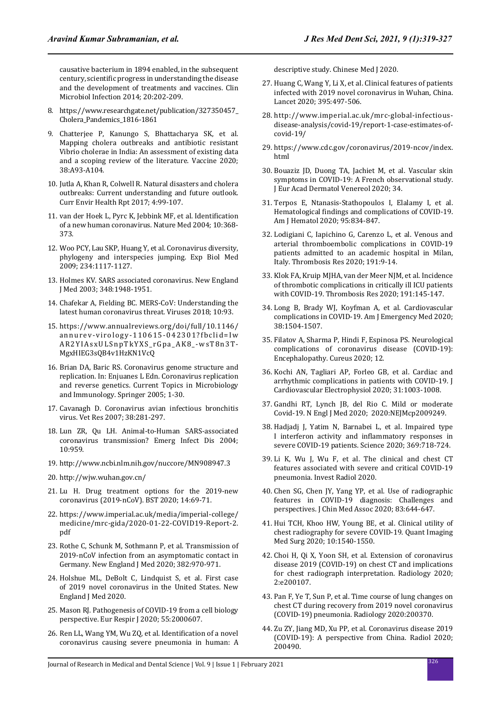causative bacterium in 1894 enabled, in the subsequent century, scientific progress in understanding the disease and the development of treatments and vaccines. Clin Microbiol Infection 2014; 20:202-209.

- 8. https://www.researchgate.net/publication/327350457\_ Cholera\_Pandemics\_1816-1861
- 9. Chatterjee P, Kanungo S, Bhattacharya SK, et al. Mapping cholera outbreaks and antibiotic resistant Vibrio cholerae in India: An assessment of existing data and a scoping review of the literature. Vaccine 2020; 38:A93-A104.
- 10. Jutla A, Khan R, Colwell R. Natural disasters and cholera outbreaks: Current understanding and future outlook. Curr Envir Health Rpt 2017; 4:99-107.
- 11. van der Hoek L, Pyrc K, Jebbink MF, et al. Identification of a new human coronavirus. Nature Med 2004; 10:368- 373.
- 12. Woo PCY, Lau SKP, Huang Y, et al. Coronavirus diversity, phylogeny and interspecies jumping. Exp Biol Med 2009; 234:1117-1127.
- 13. Holmes KV. SARS associated coronavirus. New England J Med 2003; 348:1948-1951.
- 14. Chafekar A, Fielding BC. MERS-CoV: Understanding the latest human coronavirus threat. Viruses 2018; 10:93.
- 15. https://www.annualreviews.org/doi/full/10.1146/ annurev-virology-110615-042301?fbclid=Iw AR2YIAsxULSnpTkYXS\_rGpa\_AK8\_-wsT8n3T-MgxHIEG3sQB4v1HzKN1VcQ
- 16. Brian DA, Baric RS. Coronavirus genome structure and replication. In: Enjuanes L Edn. Coronavirus replication and reverse genetics. Current Topics in Microbiology and Immunology. Springer 2005; 1-30.
- 17. Cavanagh D. Coronavirus avian infectious bronchitis virus. Vet Res 2007; 38:281-297.
- 18. Lun ZR, Qu LH. Animal-to-Human SARS-associated coronavirus transmission? Emerg Infect Dis 2004; 10:959.
- 19. http://www.ncbi.nlm.nih.gov/nuccore/MN908947.3
- 20. http://wjw.wuhan.gov.cn/
- 21. Lu H. Drug treatment options for the 2019-new coronavirus (2019-nCoV). BST 2020; 14:69-71.
- 22. https://www.imperial.ac.uk/media/imperial-college/ medicine/mrc-gida/2020-01-22-COVID19-Report-2. pdf
- 23. Rothe C, Schunk M, Sothmann P, et al. Transmission of 2019-nCoV infection from an asymptomatic contact in Germany. New England J Med 2020; 382:970-971.
- 24. Holshue ML, DeBolt C, Lindquist S, et al. First case of 2019 novel coronavirus in the United States. New England J Med 2020.
- 25. Mason RJ. Pathogenesis of COVID-19 from a cell biology perspective. Eur Respir J 2020; 55:2000607.
- 26. Ren LL, Wang YM, Wu ZQ, et al. Identification of a novel coronavirus causing severe pneumonia in human: A

descriptive study. Chinese Med J 2020.

- 27. Huang C, Wang Y, Li X, et al. Clinical features of patients infected with 2019 novel coronavirus in Wuhan, China. Lancet 2020; 395:497-506.
- 28. http://www.imperial.ac.uk/mrc-global-infectiousdisease-analysis/covid-19/report-1-case-estimates-ofcovid-19/
- 29. https://www.cdc.gov/coronavirus/2019-ncov/index. html
- 30. Bouaziz JD, Duong TA, Jachiet M, et al. Vascular skin symptoms in COVID-19: A French observational study. J Eur Acad Dermatol Venereol 2020; 34.
- 31. Terpos E, Ntanasis-Stathopoulos I, Elalamy I, et al. Hematological findings and complications of COVID-19. Am J Hematol 2020; 95:834-847.
- 32. Lodigiani C, Iapichino G, Carenzo L, et al. Venous and arterial thromboembolic complications in COVID-19 patients admitted to an academic hospital in Milan, Italy. Thrombosis Res 2020; 191:9-14.
- 33. Klok FA, Kruip MJHA, van der Meer NJM, et al. Incidence of thrombotic complications in critically ill ICU patients with COVID-19. Thrombosis Res 2020; 191:145-147.
- 34. Long B, Brady WJ, Koyfman A, et al. Cardiovascular complications in COVID-19. Am J Emergency Med 2020; 38:1504-1507.
- 35. Filatov A, Sharma P, Hindi F, Espinosa PS. Neurological complications of coronavirus disease (COVID-19): Encephalopathy. Cureus 2020; 12.
- 36. Kochi AN, Tagliari AP, Forleo GB, et al. Cardiac and arrhythmic complications in patients with COVID-19. J Cardiovascular Electrophysiol 2020; 31:1003-1008.
- 37. Gandhi RT, Lynch JB, del Rio C. Mild or moderate Covid-19. N Engl J Med 2020; 2020:NEJMcp2009249.
- 38. Hadjadj J, Yatim N, Barnabei L, et al. Impaired type I interferon activity and inflammatory responses in severe COVID-19 patients. Science 2020; 369:718-724.
- 39. Li K, Wu J, Wu F, et al. The clinical and chest CT features associated with severe and critical COVID-19 pneumonia. Invest Radiol 2020.
- 40. Chen SG, Chen JY, Yang YP, et al. Use of radiographic features in COVID-19 diagnosis: Challenges and perspectives. J Chin Med Assoc 2020; 83:644-647.
- 41. Hui TCH, Khoo HW, Young BE, et al. Clinical utility of chest radiography for severe COVID-19. Quant Imaging Med Surg 2020; 10:1540-1550.
- 42. Choi H, Qi X, Yoon SH, et al. Extension of coronavirus disease 2019 (COVID-19) on chest CT and implications for chest radiograph interpretation. Radiology 2020; 2:e200107.
- 43. Pan F, Ye T, Sun P, et al. Time course of lung changes on chest CT during recovery from 2019 novel coronavirus (COVID-19) pneumonia. Radiology 2020:200370.
- 44. Zu ZY, Jiang MD, Xu PP, et al. Coronavirus disease 2019 (COVID-19): A perspective from China. Radiol 2020; 200490.